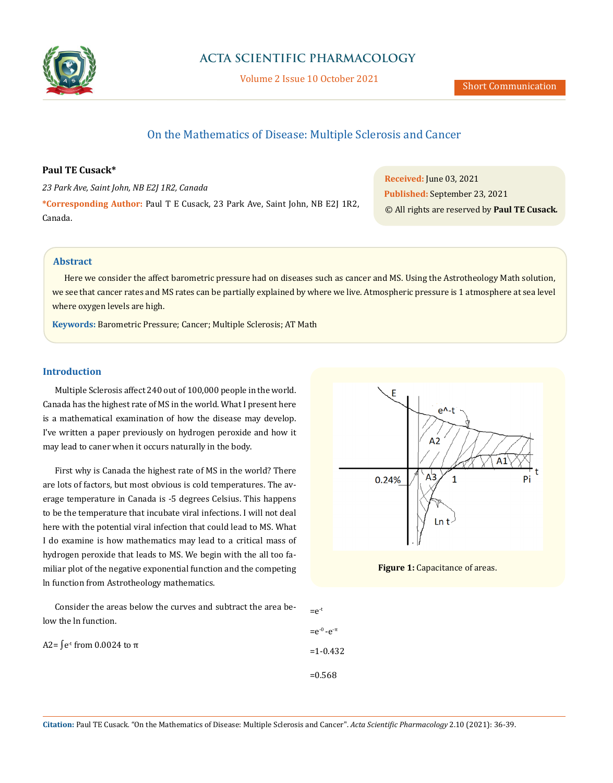

Volume 2 Issue 10 October 2021

# On the Mathematics of Disease: Multiple Sclerosis and Cancer

## **Paul TE Cusack\***

*23 Park Ave, Saint John, NB E2J 1R2, Canada* **\*Corresponding Author:** Paul T E Cusack, 23 Park Ave, Saint John, NB E2J 1R2, Canada.

**Received:** June 03, 2021 **Published:** September 23, 2021 © All rights are reserved by **Paul TE Cusack***.*

# **Abstract**

Here we consider the affect barometric pressure had on diseases such as cancer and MS. Using the Astrotheology Math solution, we see that cancer rates and MS rates can be partially explained by where we live. Atmospheric pressure is 1 atmosphere at sea level where oxygen levels are high.

**Keywords:** Barometric Pressure; Cancer; Multiple Sclerosis; AT Math

### **Introduction**

Multiple Sclerosis affect 240 out of 100,000 people in the world. Canada has the highest rate of MS in the world. What I present here is a mathematical examination of how the disease may develop. I've written a paper previously on hydrogen peroxide and how it may lead to caner when it occurs naturally in the body.

First why is Canada the highest rate of MS in the world? There are lots of factors, but most obvious is cold temperatures. The average temperature in Canada is -5 degrees Celsius. This happens to be the temperature that incubate viral infections. I will not deal here with the potential viral infection that could lead to MS. What I do examine is how mathematics may lead to a critical mass of hydrogen peroxide that leads to MS. We begin with the all too familiar plot of the negative exponential function and the competing ln function from Astrotheology mathematics.

Consider the areas below the curves and subtract the area below the ln function.



**Figure 1:** Capacitance of areas.

A2=  $\int e^{t}$  from 0.0024 to π  $=e^{-t}$  $=e^{-0} - e^{-\pi}$ =1-0.432 =0.568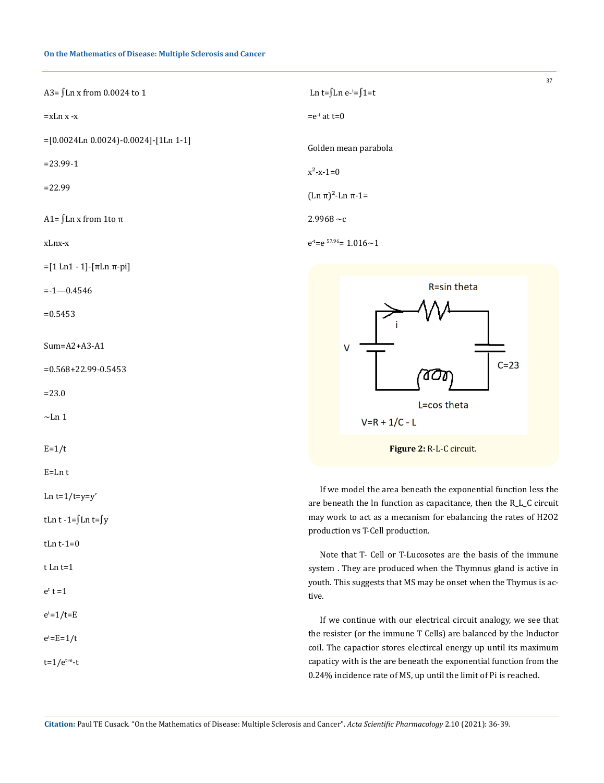#### **On the Mathematics of Disease: Multiple Sclerosis and Cancer**

| A3= ∫Ln x from 0.0024 to 1             | Ln t= $\int$ Ln e- <sup>t</sup> = $\int$ 1=t |
|----------------------------------------|----------------------------------------------|
| =xLn x -x                              | $= e^{-t}$ at t=0                            |
| $=[0.0024Ln 0.0024]-0.0024]-[1Ln 1-1]$ | Golden mean parabola                         |
| $= 23.99 - 1$                          | $x^2 - x - 1 = 0$                            |
| $= 22.99$                              | $(Ln \pi)^2$ -Ln π-1=                        |
| A1= ∫Ln x from 1to π                   | $2.9968 \sim c$                              |
| xLnx-x                                 | $e^{t}=e^{57.96}=1.016\sim1$                 |
| $=[1 \text{Ln} 1 - 1]$ -[πLn π-pi]     |                                              |

 $=-1-0.4546$ 

 $=0.5453$ 

Sum=A2+A3-A1

=0.568+22.99-0.5453

=23.0

 $\sim$ Ln 1

 $E=1/t$ 

E=Ln t

Ln  $t=1/t=v=v'$ 

tLn t -1=∫Ln t=∫y

tLn  $t-1=0$ 

t Ln t=1

 $e^t$  t =1

 $e^{t}=1/t=E$ 

 $e^t$ =E=1/t

 $t=1/e^{t=e}-t$ 

If we model the area beneath the exponential function less the are beneath the ln function as capacitance, then the R\_L\_C circuit may work to act as a mecanism for ebalancing the rates of H2O2 production vs T-Cell production.

**Figure 2:** R-L-C circuit.

 $V = R + 1/C - L$ 

4 O M

L=cos theta

R=sin theta

 $C=23$ 

37

Note that T- Cell or T-Lucosotes are the basis of the immune system . They are produced when the Thymnus gland is active in youth. This suggests that MS may be onset when the Thymus is active.

If we continue with our electrical circuit analogy, we see that the resister (or the immune T Cells) are balanced by the Inductor coil. The capactior stores electircal energy up until its maximum capaticy with is the are beneath the exponential function from the 0.24% incidence rate of MS, up until the limit of Pi is reached.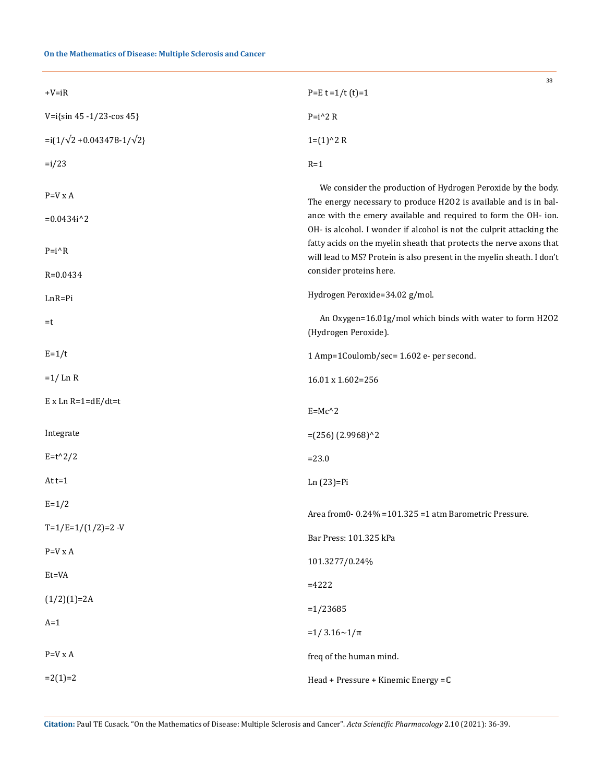# **On the Mathematics of Disease: Multiple Sclerosis and Cancer**

| $+V=iR$                              | 38<br>$P=E t = 1/t (t)=1$                                                                                                                                                                                                                                                   |
|--------------------------------------|-----------------------------------------------------------------------------------------------------------------------------------------------------------------------------------------------------------------------------------------------------------------------------|
| V=i{sin 45 -1/23-cos 45}             | $P=i^2 R$                                                                                                                                                                                                                                                                   |
| $=i(1/\sqrt{2}+0.043478-1/\sqrt{2})$ | $1=(1)^2 2 R$                                                                                                                                                                                                                                                               |
| $=i/23$                              | $R=1$                                                                                                                                                                                                                                                                       |
| $P=V \times A$<br>$=0.0434i^2$       | We consider the production of Hydrogen Peroxide by the body.<br>The energy necessary to produce H2O2 is available and is in bal-<br>ance with the emery available and required to form the OH- ion.<br>OH- is alcohol. I wonder if alcohol is not the culprit attacking the |
| $P=i^{\wedge}R$<br>$R = 0.0434$      | fatty acids on the myelin sheath that protects the nerve axons that<br>will lead to MS? Protein is also present in the myelin sheath. I don't<br>consider proteins here.                                                                                                    |
|                                      | Hydrogen Peroxide=34.02 g/mol.                                                                                                                                                                                                                                              |
| $LnR = Pi$<br>=t                     | An Oxygen=16.01g/mol which binds with water to form H2O2<br>(Hydrogen Peroxide).                                                                                                                                                                                            |
| $E=1/t$                              | 1 Amp=1Coulomb/sec= 1.602 e- per second.                                                                                                                                                                                                                                    |
| $=1/LnR$                             | 16.01 x 1.602=256                                                                                                                                                                                                                                                           |
| $E$ x Ln R=1=dE/dt=t                 | $E=Mc^2$                                                                                                                                                                                                                                                                    |
| Integrate                            | $=(256)(2.9968)^{2}$                                                                                                                                                                                                                                                        |
| $E = t^2/2$                          | $= 23.0$                                                                                                                                                                                                                                                                    |
| At $t=1$                             | $Ln(23)=Pi$                                                                                                                                                                                                                                                                 |
| $E = 1/2$                            | Area from 0-0.24% = 101.325 = 1 atm Barometric Pressure.                                                                                                                                                                                                                    |
| $T=1/E=1/(1/2)=2$ -V                 | Bar Press: 101.325 kPa                                                                                                                                                                                                                                                      |
| $P=V \times A$                       | 101.3277/0.24%                                                                                                                                                                                                                                                              |
| Et=VA                                | $=4222$                                                                                                                                                                                                                                                                     |
| $(1/2)(1)=2A$                        | $=1/23685$                                                                                                                                                                                                                                                                  |
| $A=1$                                | $=1/3.16 \sim 1/\pi$                                                                                                                                                                                                                                                        |
| $P=V \times A$                       | freq of the human mind.                                                                                                                                                                                                                                                     |
| $=2(1)=2$                            | Head + Pressure + Kinemic Energy = C                                                                                                                                                                                                                                        |
|                                      |                                                                                                                                                                                                                                                                             |